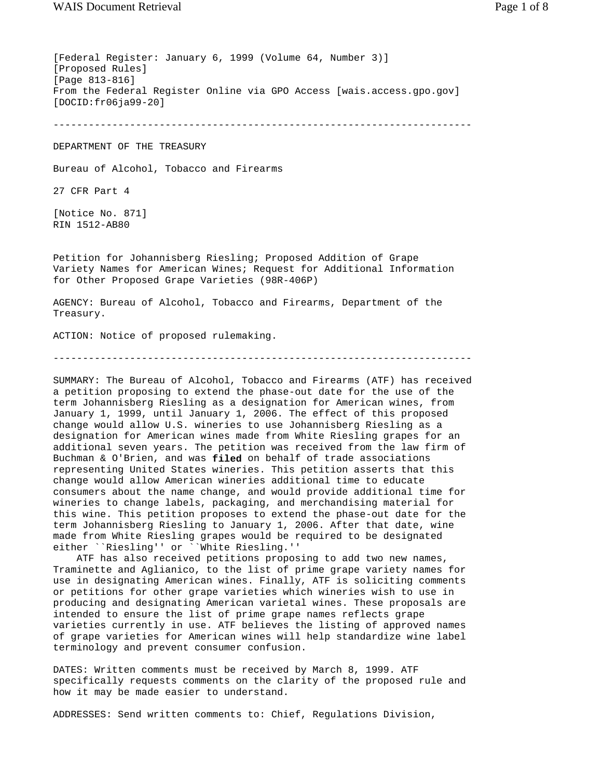[Federal Register: January 6, 1999 (Volume 64, Number 3)] [Proposed Rules] [Page 813-816] From the Federal Register Online via GPO Access [wais.access.gpo.gov] [DOCID:fr06ja99-20] -----------------------------------------------------------------------

DEPARTMENT OF THE TREASURY

Bureau of Alcohol, Tobacco and Firearms

27 CFR Part 4

[Notice No. 871] RIN 1512-AB80

Petition for Johannisberg Riesling; Proposed Addition of Grape Variety Names for American Wines; Request for Additional Information for Other Proposed Grape Varieties (98R-406P)

AGENCY: Bureau of Alcohol, Tobacco and Firearms, Department of the Treasury.

ACTION: Notice of proposed rulemaking.

-----------------------------------------------------------------------

SUMMARY: The Bureau of Alcohol, Tobacco and Firearms (ATF) has received a petition proposing to extend the phase-out date for the use of the term Johannisberg Riesling as a designation for American wines, from January 1, 1999, until January 1, 2006. The effect of this proposed change would allow U.S. wineries to use Johannisberg Riesling as a designation for American wines made from White Riesling grapes for an additional seven years. The petition was received from the law firm of Buchman & O'Brien, and was **filed** on behalf of trade associations representing United States wineries. This petition asserts that this change would allow American wineries additional time to educate consumers about the name change, and would provide additional time for wineries to change labels, packaging, and merchandising material for this wine. This petition proposes to extend the phase-out date for the term Johannisberg Riesling to January 1, 2006. After that date, wine made from White Riesling grapes would be required to be designated either ``Riesling'' or ``White Riesling.''

 ATF has also received petitions proposing to add two new names, Traminette and Aglianico, to the list of prime grape variety names for use in designating American wines. Finally, ATF is soliciting comments or petitions for other grape varieties which wineries wish to use in producing and designating American varietal wines. These proposals are intended to ensure the list of prime grape names reflects grape varieties currently in use. ATF believes the listing of approved names of grape varieties for American wines will help standardize wine label terminology and prevent consumer confusion.

DATES: Written comments must be received by March 8, 1999. ATF specifically requests comments on the clarity of the proposed rule and how it may be made easier to understand.

ADDRESSES: Send written comments to: Chief, Regulations Division,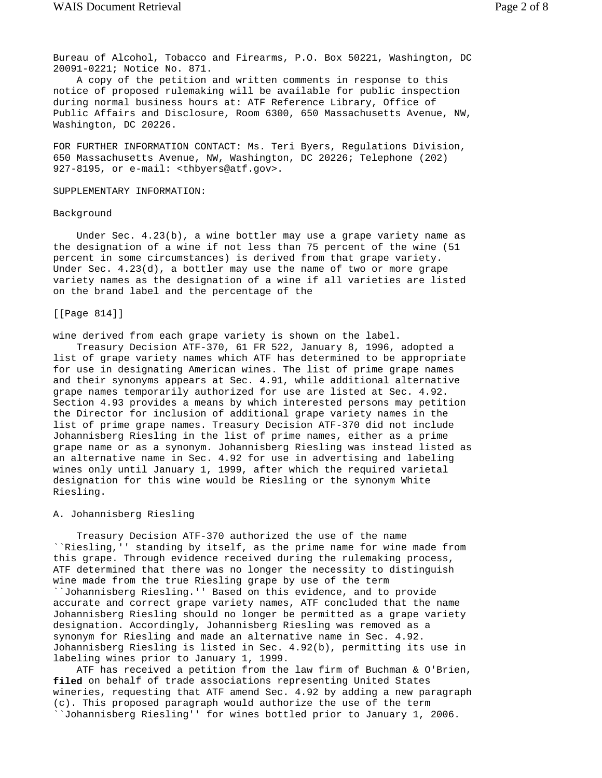Bureau of Alcohol, Tobacco and Firearms, P.O. Box 50221, Washington, DC 20091-0221; Notice No. 871.

 A copy of the petition and written comments in response to this notice of proposed rulemaking will be available for public inspection during normal business hours at: ATF Reference Library, Office of Public Affairs and Disclosure, Room 6300, 650 Massachusetts Avenue, NW, Washington, DC 20226.

FOR FURTHER INFORMATION CONTACT: Ms. Teri Byers, Regulations Division, 650 Massachusetts Avenue, NW, Washington, DC 20226; Telephone (202) 927-8195, or e-mail: <thbyers@atf.gov>.

#### SUPPLEMENTARY INFORMATION:

## Background

 Under Sec. 4.23(b), a wine bottler may use a grape variety name as the designation of a wine if not less than 75 percent of the wine (51 percent in some circumstances) is derived from that grape variety. Under Sec. 4.23(d), a bottler may use the name of two or more grape variety names as the designation of a wine if all varieties are listed on the brand label and the percentage of the

## [[Page 814]]

wine derived from each grape variety is shown on the label.

 Treasury Decision ATF-370, 61 FR 522, January 8, 1996, adopted a list of grape variety names which ATF has determined to be appropriate for use in designating American wines. The list of prime grape names and their synonyms appears at Sec. 4.91, while additional alternative grape names temporarily authorized for use are listed at Sec. 4.92. Section 4.93 provides a means by which interested persons may petition the Director for inclusion of additional grape variety names in the list of prime grape names. Treasury Decision ATF-370 did not include Johannisberg Riesling in the list of prime names, either as a prime grape name or as a synonym. Johannisberg Riesling was instead listed as an alternative name in Sec. 4.92 for use in advertising and labeling wines only until January 1, 1999, after which the required varietal designation for this wine would be Riesling or the synonym White Riesling.

# A. Johannisberg Riesling

 Treasury Decision ATF-370 authorized the use of the name ``Riesling,'' standing by itself, as the prime name for wine made from this grape. Through evidence received during the rulemaking process, ATF determined that there was no longer the necessity to distinguish wine made from the true Riesling grape by use of the term ``Johannisberg Riesling.'' Based on this evidence, and to provide accurate and correct grape variety names, ATF concluded that the name Johannisberg Riesling should no longer be permitted as a grape variety designation. Accordingly, Johannisberg Riesling was removed as a synonym for Riesling and made an alternative name in Sec. 4.92. Johannisberg Riesling is listed in Sec. 4.92(b), permitting its use in labeling wines prior to January 1, 1999.

 ATF has received a petition from the law firm of Buchman & O'Brien, **filed** on behalf of trade associations representing United States wineries, requesting that ATF amend Sec. 4.92 by adding a new paragraph (c). This proposed paragraph would authorize the use of the term ``Johannisberg Riesling'' for wines bottled prior to January 1, 2006.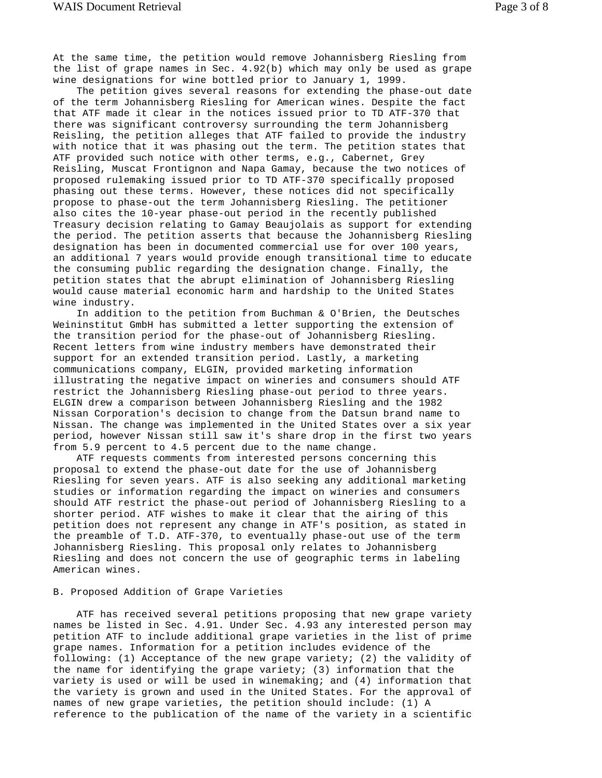At the same time, the petition would remove Johannisberg Riesling from the list of grape names in Sec. 4.92(b) which may only be used as grape wine designations for wine bottled prior to January 1, 1999.

 The petition gives several reasons for extending the phase-out date of the term Johannisberg Riesling for American wines. Despite the fact that ATF made it clear in the notices issued prior to TD ATF-370 that there was significant controversy surrounding the term Johannisberg Reisling, the petition alleges that ATF failed to provide the industry with notice that it was phasing out the term. The petition states that ATF provided such notice with other terms, e.g., Cabernet, Grey Reisling, Muscat Frontignon and Napa Gamay, because the two notices of proposed rulemaking issued prior to TD ATF-370 specifically proposed phasing out these terms. However, these notices did not specifically propose to phase-out the term Johannisberg Riesling. The petitioner also cites the 10-year phase-out period in the recently published Treasury decision relating to Gamay Beaujolais as support for extending the period. The petition asserts that because the Johannisberg Riesling designation has been in documented commercial use for over 100 years, an additional 7 years would provide enough transitional time to educate the consuming public regarding the designation change. Finally, the petition states that the abrupt elimination of Johannisberg Riesling would cause material economic harm and hardship to the United States wine industry.

 In addition to the petition from Buchman & O'Brien, the Deutsches Weininstitut GmbH has submitted a letter supporting the extension of the transition period for the phase-out of Johannisberg Riesling. Recent letters from wine industry members have demonstrated their support for an extended transition period. Lastly, a marketing communications company, ELGIN, provided marketing information illustrating the negative impact on wineries and consumers should ATF restrict the Johannisberg Riesling phase-out period to three years. ELGIN drew a comparison between Johannisberg Riesling and the 1982 Nissan Corporation's decision to change from the Datsun brand name to Nissan. The change was implemented in the United States over a six year period, however Nissan still saw it's share drop in the first two years from 5.9 percent to 4.5 percent due to the name change.

 ATF requests comments from interested persons concerning this proposal to extend the phase-out date for the use of Johannisberg Riesling for seven years. ATF is also seeking any additional marketing studies or information regarding the impact on wineries and consumers should ATF restrict the phase-out period of Johannisberg Riesling to a shorter period. ATF wishes to make it clear that the airing of this petition does not represent any change in ATF's position, as stated in the preamble of T.D. ATF-370, to eventually phase-out use of the term Johannisberg Riesling. This proposal only relates to Johannisberg Riesling and does not concern the use of geographic terms in labeling American wines.

#### B. Proposed Addition of Grape Varieties

 ATF has received several petitions proposing that new grape variety names be listed in Sec. 4.91. Under Sec. 4.93 any interested person may petition ATF to include additional grape varieties in the list of prime grape names. Information for a petition includes evidence of the following: (1) Acceptance of the new grape variety; (2) the validity of the name for identifying the grape variety; (3) information that the variety is used or will be used in winemaking; and (4) information that the variety is grown and used in the United States. For the approval of names of new grape varieties, the petition should include: (1) A reference to the publication of the name of the variety in a scientific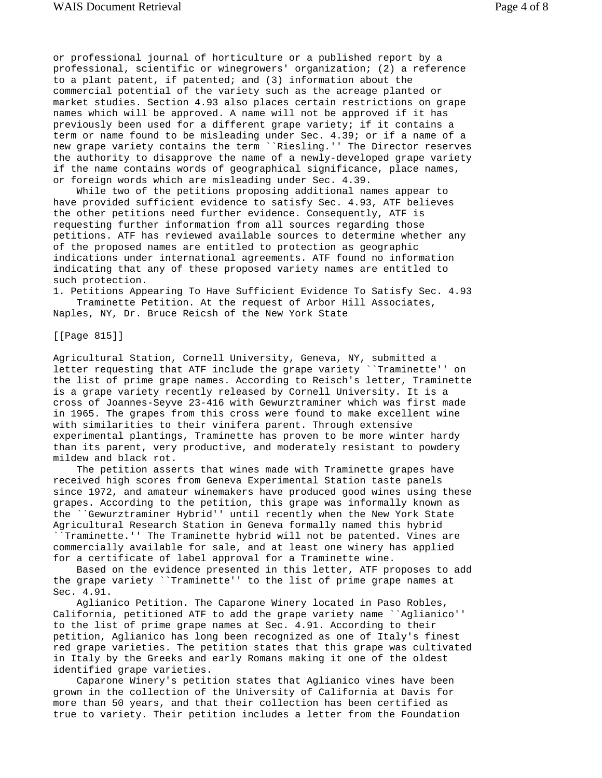or professional journal of horticulture or a published report by a professional, scientific or winegrowers' organization; (2) a reference to a plant patent, if patented; and (3) information about the commercial potential of the variety such as the acreage planted or market studies. Section 4.93 also places certain restrictions on grape names which will be approved. A name will not be approved if it has previously been used for a different grape variety; if it contains a term or name found to be misleading under Sec. 4.39; or if a name of a new grape variety contains the term ``Riesling.'' The Director reserves the authority to disapprove the name of a newly-developed grape variety if the name contains words of geographical significance, place names, or foreign words which are misleading under Sec. 4.39.

 While two of the petitions proposing additional names appear to have provided sufficient evidence to satisfy Sec. 4.93, ATF believes the other petitions need further evidence. Consequently, ATF is requesting further information from all sources regarding those petitions. ATF has reviewed available sources to determine whether any of the proposed names are entitled to protection as geographic indications under international agreements. ATF found no information indicating that any of these proposed variety names are entitled to such protection.

1. Petitions Appearing To Have Sufficient Evidence To Satisfy Sec. 4.93 Traminette Petition. At the request of Arbor Hill Associates, Naples, NY, Dr. Bruce Reicsh of the New York State

[[Page 815]]

Agricultural Station, Cornell University, Geneva, NY, submitted a letter requesting that ATF include the grape variety ``Traminette'' on the list of prime grape names. According to Reisch's letter, Traminette is a grape variety recently released by Cornell University. It is a cross of Joannes-Seyve 23-416 with Gewurztraminer which was first made in 1965. The grapes from this cross were found to make excellent wine with similarities to their vinifera parent. Through extensive experimental plantings, Traminette has proven to be more winter hardy than its parent, very productive, and moderately resistant to powdery mildew and black rot.

 The petition asserts that wines made with Traminette grapes have received high scores from Geneva Experimental Station taste panels since 1972, and amateur winemakers have produced good wines using these grapes. According to the petition, this grape was informally known as the ``Gewurztraminer Hybrid'' until recently when the New York State Agricultural Research Station in Geneva formally named this hybrid

``Traminette.'' The Traminette hybrid will not be patented. Vines are commercially available for sale, and at least one winery has applied for a certificate of label approval for a Traminette wine.

 Based on the evidence presented in this letter, ATF proposes to add the grape variety ``Traminette'' to the list of prime grape names at Sec. 4.91.

 Aglianico Petition. The Caparone Winery located in Paso Robles, California, petitioned ATF to add the grape variety name ``Aglianico'' to the list of prime grape names at Sec. 4.91. According to their petition, Aglianico has long been recognized as one of Italy's finest red grape varieties. The petition states that this grape was cultivated in Italy by the Greeks and early Romans making it one of the oldest identified grape varieties.

 Caparone Winery's petition states that Aglianico vines have been grown in the collection of the University of California at Davis for more than 50 years, and that their collection has been certified as true to variety. Their petition includes a letter from the Foundation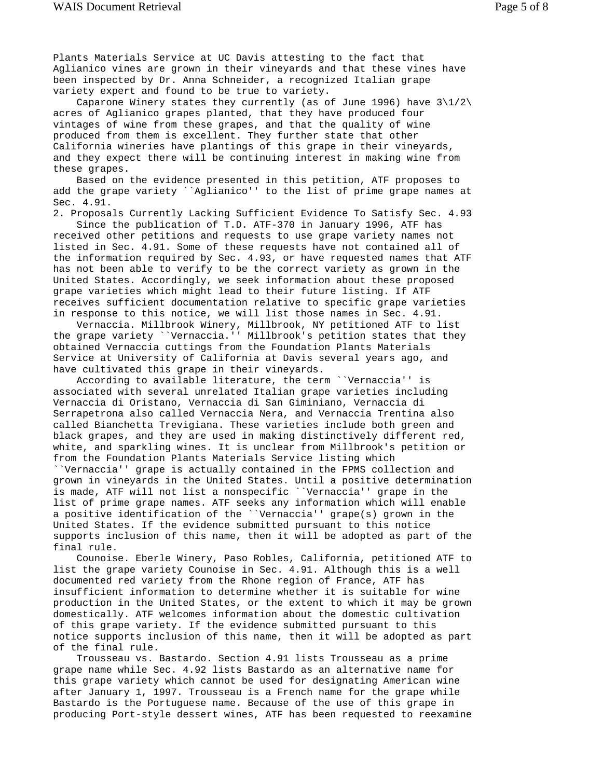Plants Materials Service at UC Davis attesting to the fact that Aglianico vines are grown in their vineyards and that these vines have been inspected by Dr. Anna Schneider, a recognized Italian grape variety expert and found to be true to variety.

Caparone Winery states they currently (as of June 1996) have  $3\frac{1}{2}$ acres of Aglianico grapes planted, that they have produced four vintages of wine from these grapes, and that the quality of wine produced from them is excellent. They further state that other California wineries have plantings of this grape in their vineyards, and they expect there will be continuing interest in making wine from these grapes.

 Based on the evidence presented in this petition, ATF proposes to add the grape variety ``Aglianico'' to the list of prime grape names at Sec. 4.91.

2. Proposals Currently Lacking Sufficient Evidence To Satisfy Sec. 4.93

 Since the publication of T.D. ATF-370 in January 1996, ATF has received other petitions and requests to use grape variety names not listed in Sec. 4.91. Some of these requests have not contained all of the information required by Sec. 4.93, or have requested names that ATF has not been able to verify to be the correct variety as grown in the United States. Accordingly, we seek information about these proposed grape varieties which might lead to their future listing. If ATF receives sufficient documentation relative to specific grape varieties in response to this notice, we will list those names in Sec. 4.91.

 Vernaccia. Millbrook Winery, Millbrook, NY petitioned ATF to list the grape variety ``Vernaccia.'' Millbrook's petition states that they obtained Vernaccia cuttings from the Foundation Plants Materials Service at University of California at Davis several years ago, and have cultivated this grape in their vineyards.

 According to available literature, the term ``Vernaccia'' is associated with several unrelated Italian grape varieties including Vernaccia di Oristano, Vernaccia di San Giminiano, Vernaccia di Serrapetrona also called Vernaccia Nera, and Vernaccia Trentina also called Bianchetta Trevigiana. These varieties include both green and black grapes, and they are used in making distinctively different red, white, and sparkling wines. It is unclear from Millbrook's petition or from the Foundation Plants Materials Service listing which ``Vernaccia'' grape is actually contained in the FPMS collection and grown in vineyards in the United States. Until a positive determination is made, ATF will not list a nonspecific ``Vernaccia'' grape in the list of prime grape names. ATF seeks any information which will enable a positive identification of the ``Vernaccia'' grape(s) grown in the United States. If the evidence submitted pursuant to this notice supports inclusion of this name, then it will be adopted as part of the final rule.

 Counoise. Eberle Winery, Paso Robles, California, petitioned ATF to list the grape variety Counoise in Sec. 4.91. Although this is a well documented red variety from the Rhone region of France, ATF has insufficient information to determine whether it is suitable for wine production in the United States, or the extent to which it may be grown domestically. ATF welcomes information about the domestic cultivation of this grape variety. If the evidence submitted pursuant to this notice supports inclusion of this name, then it will be adopted as part of the final rule.

 Trousseau vs. Bastardo. Section 4.91 lists Trousseau as a prime grape name while Sec. 4.92 lists Bastardo as an alternative name for this grape variety which cannot be used for designating American wine after January 1, 1997. Trousseau is a French name for the grape while Bastardo is the Portuguese name. Because of the use of this grape in producing Port-style dessert wines, ATF has been requested to reexamine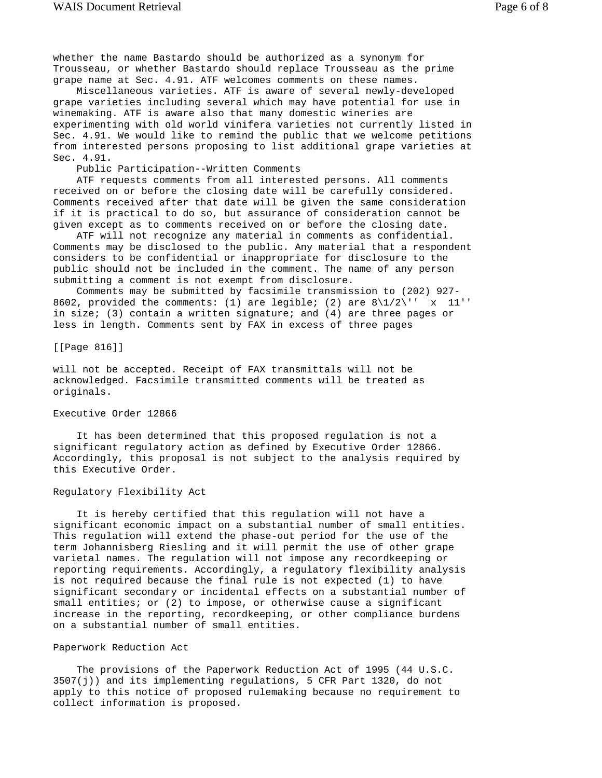whether the name Bastardo should be authorized as a synonym for Trousseau, or whether Bastardo should replace Trousseau as the prime grape name at Sec. 4.91. ATF welcomes comments on these names.

 Miscellaneous varieties. ATF is aware of several newly-developed grape varieties including several which may have potential for use in winemaking. ATF is aware also that many domestic wineries are experimenting with old world vinifera varieties not currently listed in Sec. 4.91. We would like to remind the public that we welcome petitions from interested persons proposing to list additional grape varieties at Sec. 4.91.

Public Participation--Written Comments

 ATF requests comments from all interested persons. All comments received on or before the closing date will be carefully considered. Comments received after that date will be given the same consideration if it is practical to do so, but assurance of consideration cannot be given except as to comments received on or before the closing date.

 ATF will not recognize any material in comments as confidential. Comments may be disclosed to the public. Any material that a respondent considers to be confidential or inappropriate for disclosure to the public should not be included in the comment. The name of any person submitting a comment is not exempt from disclosure.

 Comments may be submitted by facsimile transmission to (202) 927- 8602, provided the comments: (1) are legible; (2) are  $8\frac{1}{2}\$  x 11'' in size; (3) contain a written signature; and (4) are three pages or less in length. Comments sent by FAX in excess of three pages

[[Page 816]]

will not be accepted. Receipt of FAX transmittals will not be acknowledged. Facsimile transmitted comments will be treated as originals.

#### Executive Order 12866

 It has been determined that this proposed regulation is not a significant regulatory action as defined by Executive Order 12866. Accordingly, this proposal is not subject to the analysis required by this Executive Order.

## Regulatory Flexibility Act

 It is hereby certified that this regulation will not have a significant economic impact on a substantial number of small entities. This regulation will extend the phase-out period for the use of the term Johannisberg Riesling and it will permit the use of other grape varietal names. The regulation will not impose any recordkeeping or reporting requirements. Accordingly, a regulatory flexibility analysis is not required because the final rule is not expected (1) to have significant secondary or incidental effects on a substantial number of small entities; or (2) to impose, or otherwise cause a significant increase in the reporting, recordkeeping, or other compliance burdens on a substantial number of small entities.

#### Paperwork Reduction Act

 The provisions of the Paperwork Reduction Act of 1995 (44 U.S.C. 3507(j)) and its implementing regulations, 5 CFR Part 1320, do not apply to this notice of proposed rulemaking because no requirement to collect information is proposed.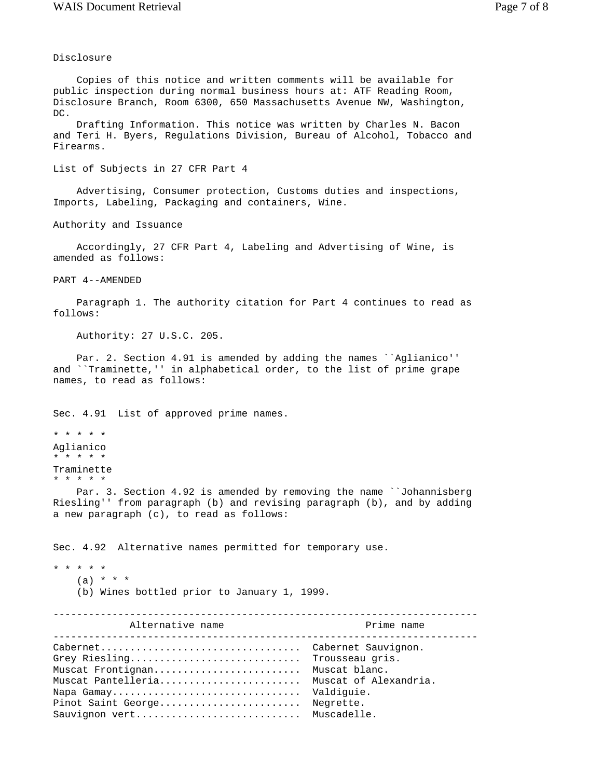# Disclosure

 Copies of this notice and written comments will be available for public inspection during normal business hours at: ATF Reading Room, Disclosure Branch, Room 6300, 650 Massachusetts Avenue NW, Washington, DC.

 Drafting Information. This notice was written by Charles N. Bacon and Teri H. Byers, Regulations Division, Bureau of Alcohol, Tobacco and Firearms.

List of Subjects in 27 CFR Part 4

 Advertising, Consumer protection, Customs duties and inspections, Imports, Labeling, Packaging and containers, Wine.

Authority and Issuance

 Accordingly, 27 CFR Part 4, Labeling and Advertising of Wine, is amended as follows:

PART 4--AMENDED

 Paragraph 1. The authority citation for Part 4 continues to read as follows:

Authority: 27 U.S.C. 205.

Par. 2. Section 4.91 is amended by adding the names ``Aglianico'' and ``Traminette,'' in alphabetical order, to the list of prime grape names, to read as follows:

Sec. 4.91 List of approved prime names.

```
* * * * * 
Aglianico 
* * * * * 
Traminette 
* * * * *
```
 Par. 3. Section 4.92 is amended by removing the name ``Johannisberg Riesling'' from paragraph (b) and revising paragraph (b), and by adding a new paragraph (c), to read as follows:

Sec. 4.92 Alternative names permitted for temporary use.

\* \* \* \* \*

- $(a) * * * *$
- (b) Wines bottled prior to January 1, 1999.

| Alternative name                                                                                                                                                               | Prime name              |
|--------------------------------------------------------------------------------------------------------------------------------------------------------------------------------|-------------------------|
| Grey Riesling Trousseau gris.<br>Muscat Frontignan Muscat blanc.<br>Muscat Pantelleria Muscat of Alexandria.<br>Napa Gamay<br>Pinot Saint George<br>Sauvignon vert Muscadelle. | Valdiquie.<br>Negrette. |